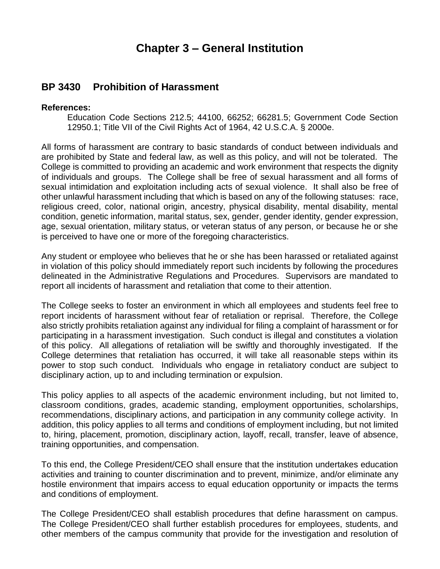## **Chapter 3 – General Institution**

## **BP 3430 Prohibition of Harassment**

## **References:**

Education Code Sections 212.5; 44100, 66252; 66281.5; Government Code Section 12950.1; Title VII of the Civil Rights Act of 1964, 42 U.S.C.A. § 2000e.

All forms of harassment are contrary to basic standards of conduct between individuals and are prohibited by State and federal law, as well as this policy, and will not be tolerated. The College is committed to providing an academic and work environment that respects the dignity of individuals and groups. The College shall be free of sexual harassment and all forms of sexual intimidation and exploitation including acts of sexual violence. It shall also be free of other unlawful harassment including that which is based on any of the following statuses: race, religious creed, color, national origin, ancestry, physical disability, mental disability, mental condition, genetic information, marital status, sex, gender, gender identity, gender expression, age, sexual orientation, military status, or veteran status of any person, or because he or she is perceived to have one or more of the foregoing characteristics.

Any student or employee who believes that he or she has been harassed or retaliated against in violation of this policy should immediately report such incidents by following the procedures delineated in the Administrative Regulations and Procedures. Supervisors are mandated to report all incidents of harassment and retaliation that come to their attention.

The College seeks to foster an environment in which all employees and students feel free to report incidents of harassment without fear of retaliation or reprisal. Therefore, the College also strictly prohibits retaliation against any individual for filing a complaint of harassment or for participating in a harassment investigation. Such conduct is illegal and constitutes a violation of this policy. All allegations of retaliation will be swiftly and thoroughly investigated. If the College determines that retaliation has occurred, it will take all reasonable steps within its power to stop such conduct. Individuals who engage in retaliatory conduct are subject to disciplinary action, up to and including termination or expulsion.

This policy applies to all aspects of the academic environment including, but not limited to, classroom conditions, grades, academic standing, employment opportunities, scholarships, recommendations, disciplinary actions, and participation in any community college activity. In addition, this policy applies to all terms and conditions of employment including, but not limited to, hiring, placement, promotion, disciplinary action, layoff, recall, transfer, leave of absence, training opportunities, and compensation.

To this end, the College President/CEO shall ensure that the institution undertakes education activities and training to counter discrimination and to prevent, minimize, and/or eliminate any hostile environment that impairs access to equal education opportunity or impacts the terms and conditions of employment.

The College President/CEO shall establish procedures that define harassment on campus. The College President/CEO shall further establish procedures for employees, students, and other members of the campus community that provide for the investigation and resolution of